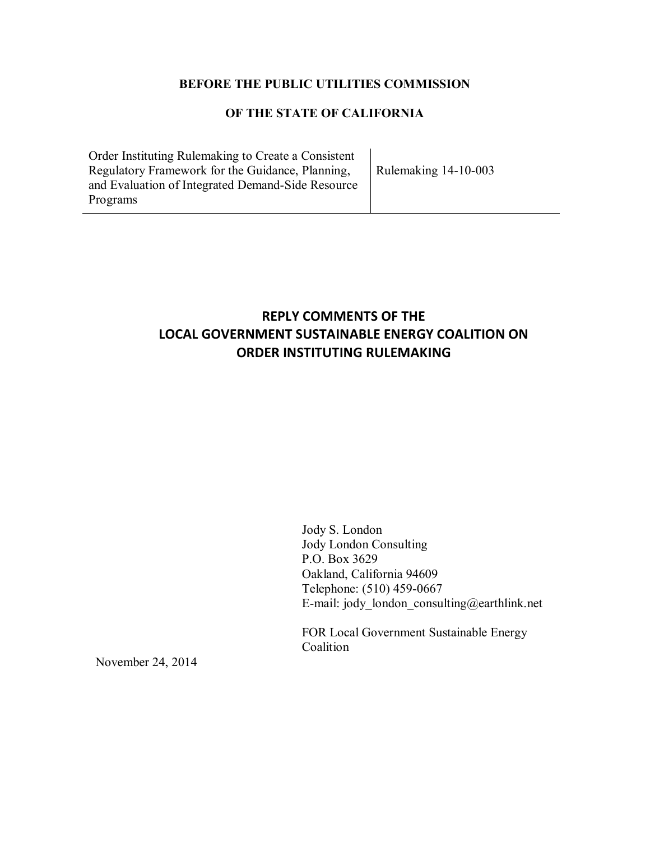## **BEFORE THE PUBLIC UTILITIES COMMISSION**

# **OF THE STATE OF CALIFORNIA**

Order Instituting Rulemaking to Create a Consistent Regulatory Framework for the Guidance, Planning, and Evaluation of Integrated Demand-Side Resource Programs

Rulemaking 14-10-003

# **REPLY COMMENTS OF THE LOCAL GOVERNMENT SUSTAINABLE ENERGY COALITION ON ORDER INSTITUTING RULEMAKING**

Jody S. London Jody London Consulting P.O. Box 3629 Oakland, California 94609 Telephone: (510) 459-0667 E-mail: jody\_london\_consulting@earthlink.net

FOR Local Government Sustainable Energy Coalition

November 24, 2014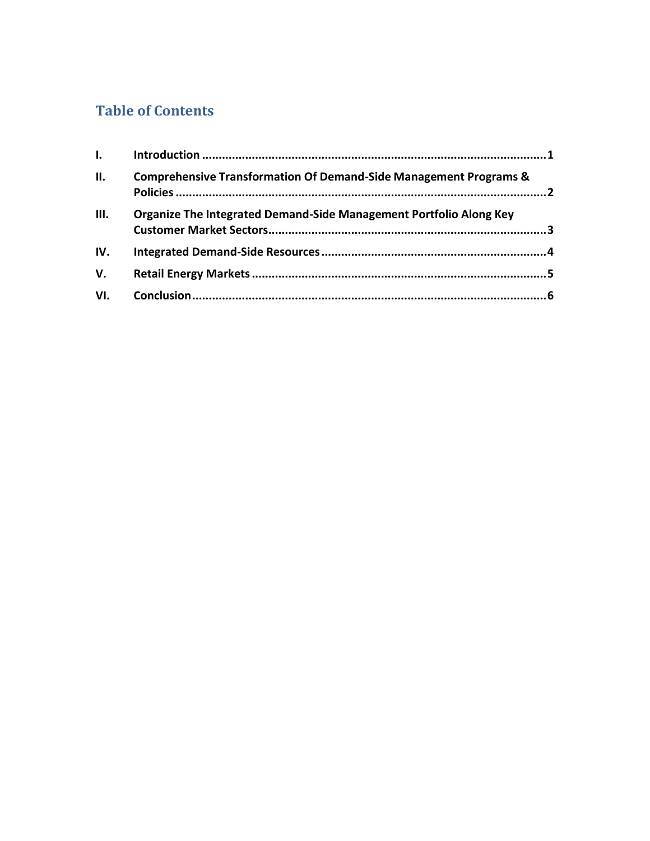# **Table of Contents**

| $\mathbf{I}$ . |                                                                              |  |
|----------------|------------------------------------------------------------------------------|--|
| ΙΙ.            | <b>Comprehensive Transformation Of Demand-Side Management Programs &amp;</b> |  |
| Ш.             | Organize The Integrated Demand-Side Management Portfolio Along Key           |  |
| IV.            |                                                                              |  |
| V.             |                                                                              |  |
| VI.            |                                                                              |  |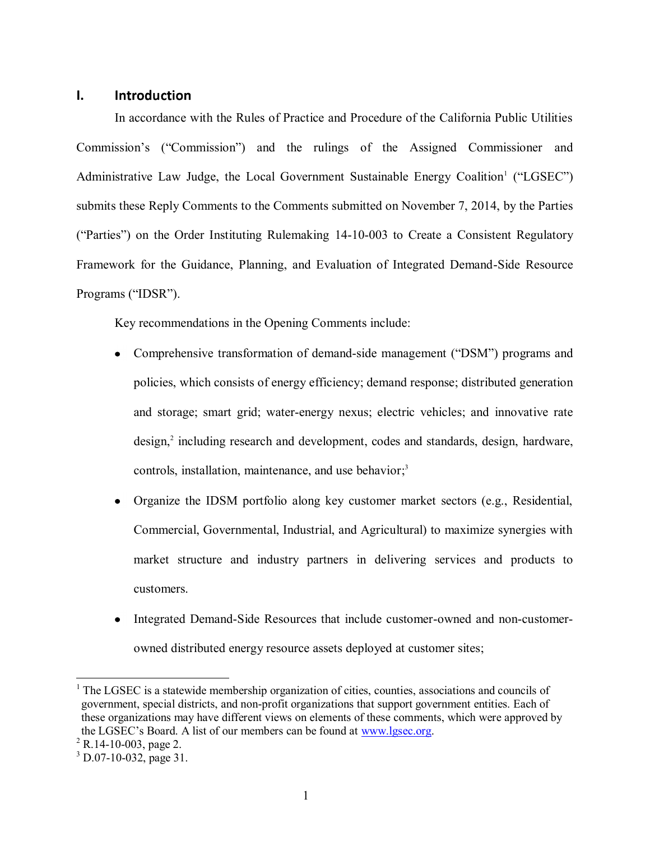### <span id="page-2-0"></span>**I. Introduction**

In accordance with the Rules of Practice and Procedure of the California Public Utilities Commission's ("Commission") and the rulings of the Assigned Commissioner and Administrative Law Judge, the Local Government Sustainable Energy Coalition<sup>1</sup> ("LGSEC") submits these Reply Comments to the Comments submitted on November 7, 2014, by the Parties ("Parties") on the Order Instituting Rulemaking 14-10-003 to Create a Consistent Regulatory Framework for the Guidance, Planning, and Evaluation of Integrated Demand-Side Resource Programs ("IDSR").

Key recommendations in the Opening Comments include:

- Comprehensive transformation of demand-side management ("DSM") programs and policies, which consists of energy efficiency; demand response; distributed generation and storage; smart grid; water-energy nexus; electric vehicles; and innovative rate design, 2 including research and development, codes and standards, design, hardware, controls, installation, maintenance, and use behavior;<sup>3</sup>
- Organize the IDSM portfolio along key customer market sectors (e.g., Residential, Commercial, Governmental, Industrial, and Agricultural) to maximize synergies with market structure and industry partners in delivering services and products to customers.
- Integrated Demand-Side Resources that include customer-owned and non-customerowned distributed energy resource assets deployed at customer sites;

 $<sup>1</sup>$  The LGSEC is a statewide membership organization of cities, counties, associations and councils of</sup> government, special districts, and non-profit organizations that support government entities. Each of these organizations may have different views on elements of these comments, which were approved by the LGSEC's Board. A list of our members can be found at [www.lgsec.org.](http://www.lgsec.org/)

 $2$  R.14-10-003, page 2.

 $3$  D.07-10-032, page 31.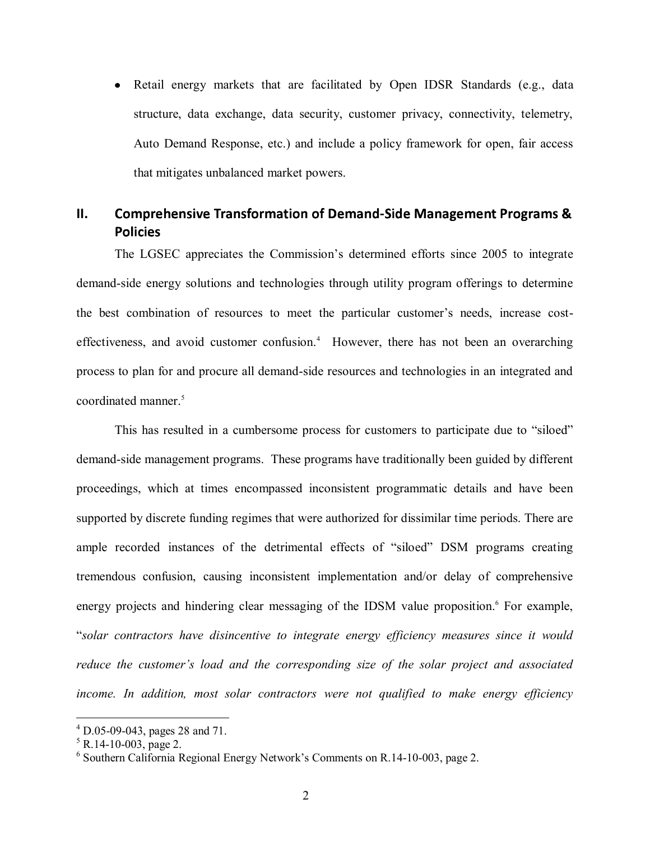• Retail energy markets that are facilitated by Open IDSR Standards (e.g., data structure, data exchange, data security, customer privacy, connectivity, telemetry, Auto Demand Response, etc.) and include a policy framework for open, fair access that mitigates unbalanced market powers.

# <span id="page-3-0"></span>**II.** Comprehensive Transformation of Demand-Side Management Programs & **Policies**

The LGSEC appreciates the Commission's determined efforts since 2005 to integrate demand-side energy solutions and technologies through utility program offerings to determine the best combination of resources to meet the particular customer's needs, increase costeffectiveness, and avoid customer confusion. <sup>4</sup> However, there has not been an overarching process to plan for and procure all demand-side resources and technologies in an integrated and coordinated manner. 5

This has resulted in a cumbersome process for customers to participate due to "siloed" demand-side management programs. These programs have traditionally been guided by different proceedings, which at times encompassed inconsistent programmatic details and have been supported by discrete funding regimes that were authorized for dissimilar time periods. There are ample recorded instances of the detrimental effects of "siloed" DSM programs creating tremendous confusion, causing inconsistent implementation and/or delay of comprehensive energy projects and hindering clear messaging of the IDSM value proposition.<sup>6</sup> For example, "*solar contractors have disincentive to integrate energy efficiency measures since it would reduce the customer's load and the corresponding size of the solar project and associated income. In addition, most solar contractors were not qualified to make energy efficiency* 

 $^{4}$  D.05-09-043, pages 28 and 71.

 $5 R.14 - 10 - 003$ , page 2.

<sup>6</sup> Southern California Regional Energy Network's Comments on R.14-10-003, page 2.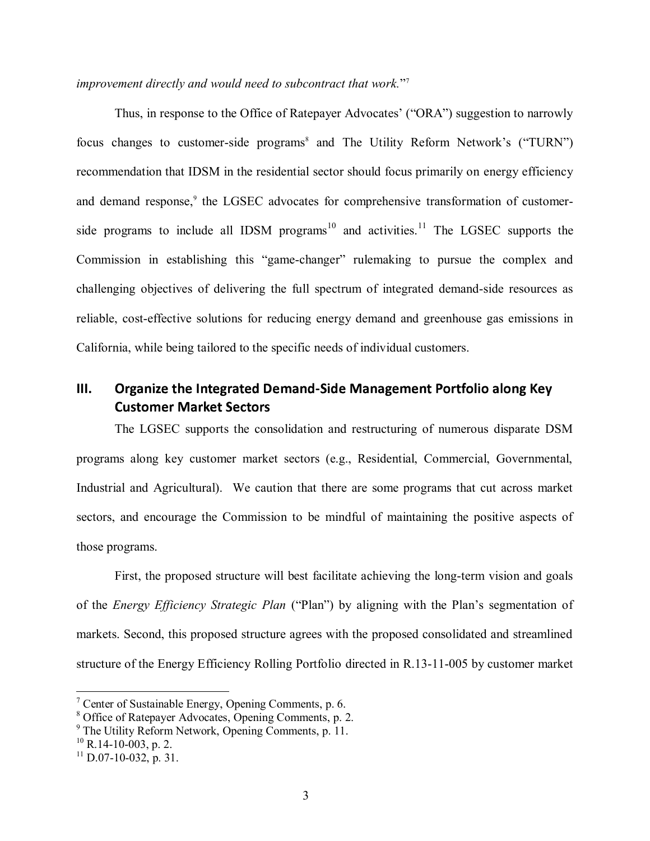### *improvement directly and would need to subcontract that work.*" 7

Thus, in response to the Office of Ratepayer Advocates' ("ORA") suggestion to narrowly focus changes to customer-side programs<sup>8</sup> and The Utility Reform Network's ("TURN") recommendation that IDSM in the residential sector should focus primarily on energy efficiency and demand response, 9 the LGSEC advocates for comprehensive transformation of customerside programs to include all IDSM programs<sup>10</sup> and activities.<sup>11</sup> The LGSEC supports the Commission in establishing this "game-changer" rulemaking to pursue the complex and challenging objectives of delivering the full spectrum of integrated demand-side resources as reliable, cost-effective solutions for reducing energy demand and greenhouse gas emissions in California, while being tailored to the specific needs of individual customers.

# <span id="page-4-0"></span>**III.** Organize the Integrated Demand-Side Management Portfolio along Key **Customer Market Sectors**

The LGSEC supports the consolidation and restructuring of numerous disparate DSM programs along key customer market sectors (e.g., Residential, Commercial, Governmental, Industrial and Agricultural). We caution that there are some programs that cut across market sectors, and encourage the Commission to be mindful of maintaining the positive aspects of those programs.

First, the proposed structure will best facilitate achieving the long-term vision and goals of the *Energy Efficiency Strategic Plan* ("Plan") by aligning with the Plan's segmentation of markets. Second, this proposed structure agrees with the proposed consolidated and streamlined structure of the Energy Efficiency Rolling Portfolio directed in R.13-11-005 by customer market

<sup>&</sup>lt;sup>7</sup> Center of Sustainable Energy, Opening Comments, p. 6.

<sup>8</sup> Office of Ratepayer Advocates, Opening Comments, p. 2.

<sup>9</sup> The Utility Reform Network, Opening Comments, p. 11.

 $^{10}$  R.14-10-003, p. 2.

 $^{11}$  D.07-10-032, p. 31.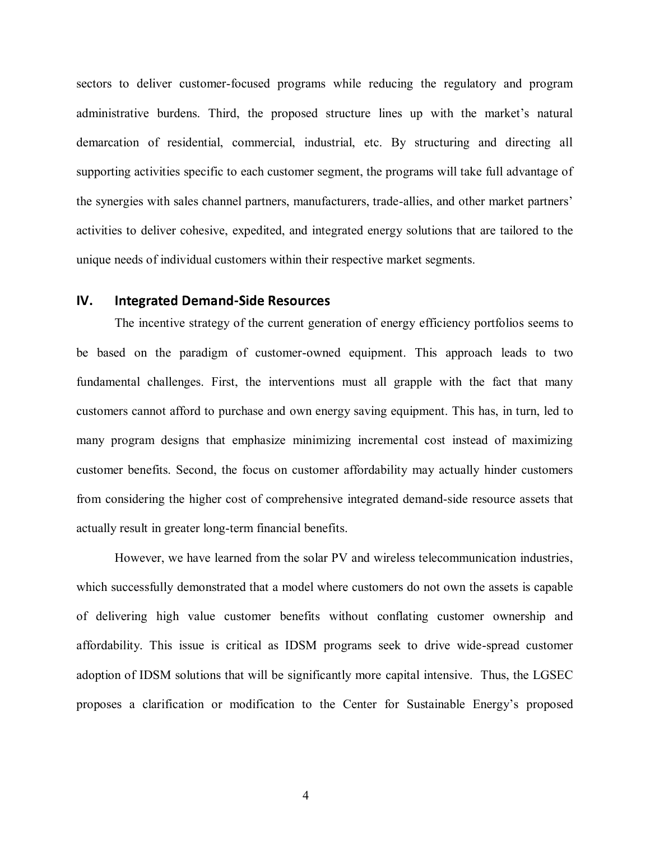sectors to deliver customer-focused programs while reducing the regulatory and program administrative burdens. Third, the proposed structure lines up with the market's natural demarcation of residential, commercial, industrial, etc. By structuring and directing all supporting activities specific to each customer segment, the programs will take full advantage of the synergies with sales channel partners, manufacturers, trade-allies, and other market partners' activities to deliver cohesive, expedited, and integrated energy solutions that are tailored to the unique needs of individual customers within their respective market segments.

## <span id="page-5-0"></span>**IV.** Integrated Demand-Side Resources

The incentive strategy of the current generation of energy efficiency portfolios seems to be based on the paradigm of customer-owned equipment. This approach leads to two fundamental challenges. First, the interventions must all grapple with the fact that many customers cannot afford to purchase and own energy saving equipment. This has, in turn, led to many program designs that emphasize minimizing incremental cost instead of maximizing customer benefits. Second, the focus on customer affordability may actually hinder customers from considering the higher cost of comprehensive integrated demand-side resource assets that actually result in greater long-term financial benefits.

However, we have learned from the solar PV and wireless telecommunication industries, which successfully demonstrated that a model where customers do not own the assets is capable of delivering high value customer benefits without conflating customer ownership and affordability. This issue is critical as IDSM programs seek to drive wide-spread customer adoption of IDSM solutions that will be significantly more capital intensive. Thus, the LGSEC proposes a clarification or modification to the Center for Sustainable Energy's proposed

4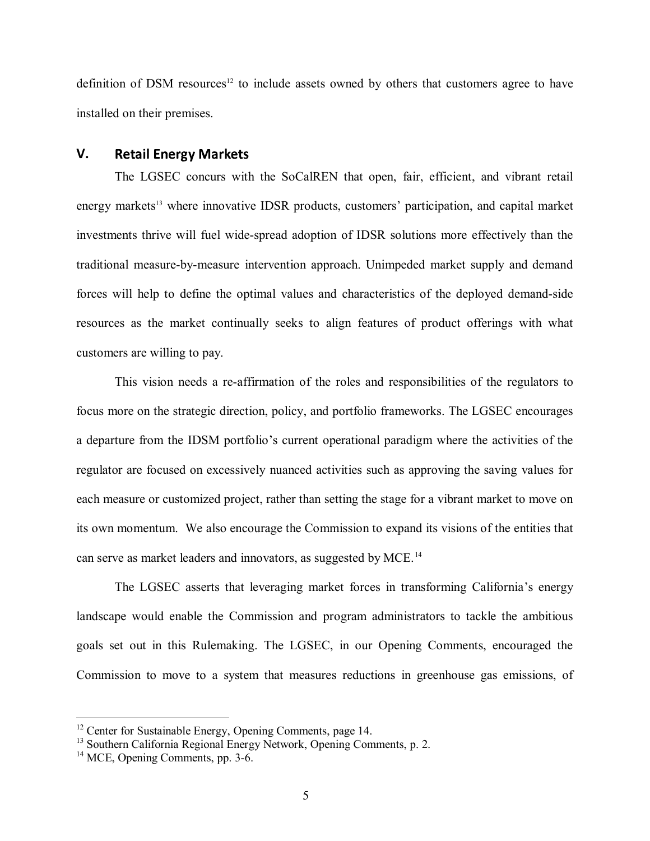definition of DSM resources<sup>12</sup> to include assets owned by others that customers agree to have installed on their premises.

### <span id="page-6-0"></span>**V. Retail Energy Markets**

The LGSEC concurs with the SoCalREN that open, fair, efficient, and vibrant retail energy markets<sup>13</sup> where innovative IDSR products, customers' participation, and capital market investments thrive will fuel wide-spread adoption of IDSR solutions more effectively than the traditional measure-by-measure intervention approach. Unimpeded market supply and demand forces will help to define the optimal values and characteristics of the deployed demand-side resources as the market continually seeks to align features of product offerings with what customers are willing to pay.

This vision needs a re-affirmation of the roles and responsibilities of the regulators to focus more on the strategic direction, policy, and portfolio frameworks. The LGSEC encourages a departure from the IDSM portfolio's current operational paradigm where the activities of the regulator are focused on excessively nuanced activities such as approving the saving values for each measure or customized project, rather than setting the stage for a vibrant market to move on its own momentum. We also encourage the Commission to expand its visions of the entities that can serve as market leaders and innovators, as suggested by MCE.<sup>14</sup>

The LGSEC asserts that leveraging market forces in transforming California's energy landscape would enable the Commission and program administrators to tackle the ambitious goals set out in this Rulemaking. The LGSEC, in our Opening Comments, encouraged the Commission to move to a system that measures reductions in greenhouse gas emissions, of

<sup>&</sup>lt;sup>12</sup> Center for Sustainable Energy, Opening Comments, page 14.

<sup>&</sup>lt;sup>13</sup> Southern California Regional Energy Network, Opening Comments, p. 2.

<sup>&</sup>lt;sup>14</sup> MCE, Opening Comments, pp. 3-6.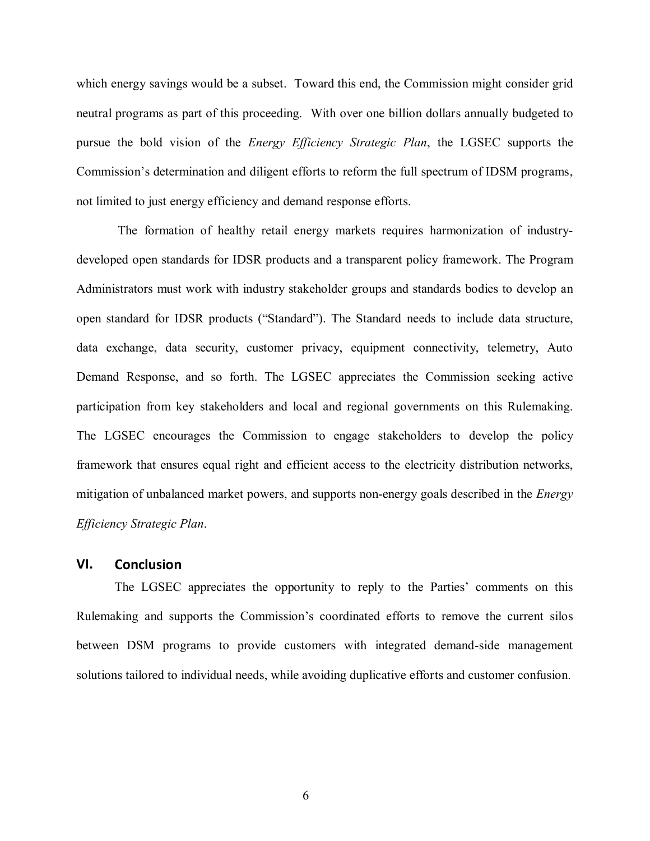which energy savings would be a subset. Toward this end, the Commission might consider grid neutral programs as part of this proceeding. With over one billion dollars annually budgeted to pursue the bold vision of the *Energy Efficiency Strategic Plan*, the LGSEC supports the Commission's determination and diligent efforts to reform the full spectrum of IDSM programs, not limited to just energy efficiency and demand response efforts.

The formation of healthy retail energy markets requires harmonization of industrydeveloped open standards for IDSR products and a transparent policy framework. The Program Administrators must work with industry stakeholder groups and standards bodies to develop an open standard for IDSR products ("Standard"). The Standard needs to include data structure, data exchange, data security, customer privacy, equipment connectivity, telemetry, Auto Demand Response, and so forth. The LGSEC appreciates the Commission seeking active participation from key stakeholders and local and regional governments on this Rulemaking. The LGSEC encourages the Commission to engage stakeholders to develop the policy framework that ensures equal right and efficient access to the electricity distribution networks, mitigation of unbalanced market powers, and supports non-energy goals described in the *Energy Efficiency Strategic Plan*.

### <span id="page-7-0"></span>**VI. Conclusion**

The LGSEC appreciates the opportunity to reply to the Parties' comments on this Rulemaking and supports the Commission's coordinated efforts to remove the current silos between DSM programs to provide customers with integrated demand-side management solutions tailored to individual needs, while avoiding duplicative efforts and customer confusion.